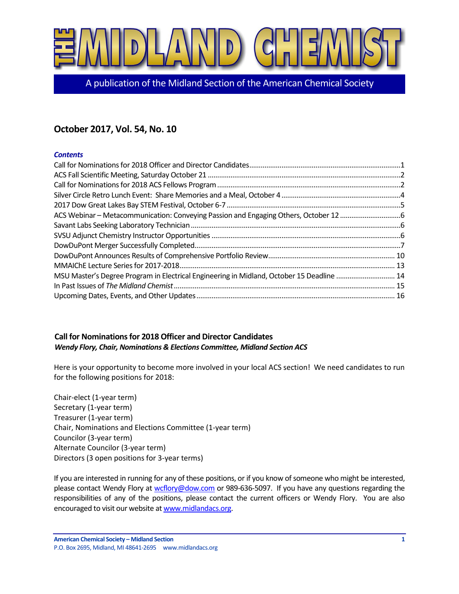

A publication of the Midland Section of the American Chemical Society

# **October 2017, Vol. 54, No. 10**

# *Contents*

| MSU Master's Degree Program in Electrical Engineering in Midland, October 15 Deadline  14 |
|-------------------------------------------------------------------------------------------|
|                                                                                           |
|                                                                                           |
|                                                                                           |

# <span id="page-0-0"></span>**Call for Nominations for 2018 Officer and Director Candidates**  *Wendy Flory, Chair, Nominations & Elections Committee, Midland Section ACS*

Here is your opportunity to become more involved in your local ACS section! We need candidates to run for the following positions for 2018:

Chair-elect (1-year term) Secretary (1-year term) Treasurer (1-year term) Chair, Nominations and Elections Committee (1-year term) Councilor (3-year term) Alternate Councilor (3-year term) Directors (3 open positions for 3-year terms)

If you are interested in running for any of these positions, or if you know of someone who might be interested, please contact Wendy Flory a[t wcflory@dow.com](mailto:wcflory@dow.com) or 989-636-5097. If you have any questions regarding the responsibilities of any of the positions, please contact the current officers or Wendy Flory. You are also encouraged to visit our website a[t www.midlandacs.org.](http://www.midlandacs.org/)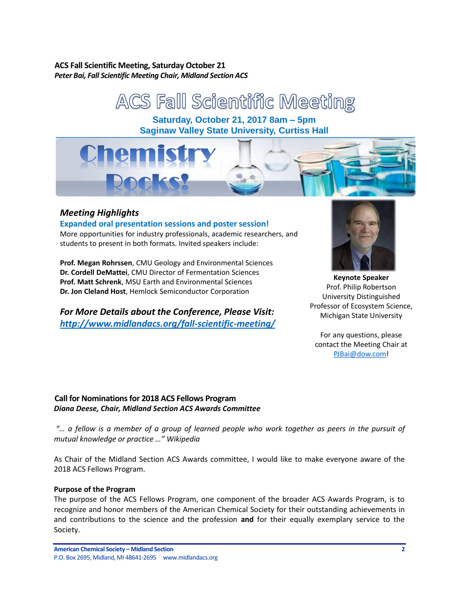# <span id="page-1-0"></span>**ACS Fall Scientific Meeting, Saturday October 21** *Peter Bai, Fall Scientific Meeting Chair, Midland Section ACS*

ACS Fall Scientific Meeting **Saturday, October 21, 2017 8am – 5pm Saginaw Valley State University, Curtiss Hall**

# *Meeting Highlights*

# **Expanded oral presentation sessions and poster session!**

More opportunities for industry professionals, academic researchers, and students to present in both formats. Invited speakers include:

**Prof. Megan Rohrssen**, CMU Geology and Environmental Sciences **Dr. Cordell DeMattei**, CMU Director of Fermentation Sciences **Prof. Matt Schrenk**, MSU Earth and Environmental Sciences **Dr. Jon Cleland Host**, Hemlock Semiconductor Corporation

*For More Details about the Conference, Please Visit: http://www.midlandacs.org/fall-scientific-meeting/*



**Keynote Speaker** Prof. Philip Robertson University Distinguished Professor of Ecosystem Science, Michigan State University

For any questions, please contact the Meeting Chair at PJBai@dow.com!

# <span id="page-1-1"></span>**Call for Nominations for 2018 ACS Fellows Program** *Diana Deese, Chair, Midland Section ACS Awards Committee*

*"… a fellow is a member of a group of learned people who work together as peers in the pursuit of mutual knowledge or practice …" Wikipedia*

As Chair of the Midland Section ACS Awards committee, I would like to make everyone aware of the 2018 ACS Fellows Program.

### **Purpose of the Program**

The purpose of the ACS Fellows Program, one component of the broader ACS Awards Program, is to recognize and honor members of the American Chemical Society for their outstanding achievements in and contributions to the science and the profession **and** for their equally exemplary service to the Society.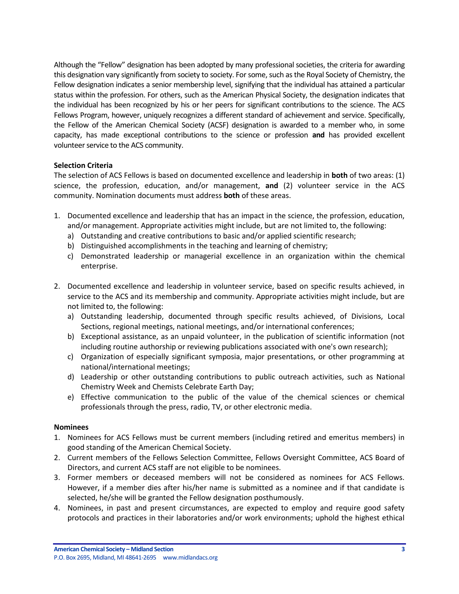Although the "Fellow" designation has been adopted by many professional societies, the criteria for awarding this designation vary significantly from society to society. For some, such as the Royal Society of Chemistry, the Fellow designation indicates a senior membership level, signifying that the individual has attained a particular status within the profession. For others, such as the American Physical Society, the designation indicates that the individual has been recognized by his or her peers for significant contributions to the science. The ACS Fellows Program, however, uniquely recognizes a different standard of achievement and service. Specifically, the Fellow of the American Chemical Society (ACSF) designation is awarded to a member who, in some capacity, has made exceptional contributions to the science or profession **and** has provided excellent volunteer service to the ACS community.

# **Selection Criteria**

The selection of ACS Fellows is based on documented excellence and leadership in **both** of two areas: (1) science, the profession, education, and/or management, **and** (2) volunteer service in the ACS community. Nomination documents must address **both** of these areas.

- 1. Documented excellence and leadership that has an impact in the science, the profession, education, and/or management. Appropriate activities might include, but are not limited to, the following:
	- a) Outstanding and creative contributions to basic and/or applied scientific research;
	- b) Distinguished accomplishments in the teaching and learning of chemistry;
	- c) Demonstrated leadership or managerial excellence in an organization within the chemical enterprise.
- 2. Documented excellence and leadership in volunteer service, based on specific results achieved, in service to the ACS and its membership and community. Appropriate activities might include, but are not limited to, the following:
	- a) Outstanding leadership, documented through specific results achieved, of Divisions, Local Sections, regional meetings, national meetings, and/or international conferences;
	- b) Exceptional assistance, as an unpaid volunteer, in the publication of scientific information (not including routine authorship or reviewing publications associated with one's own research);
	- c) Organization of especially significant symposia, major presentations, or other programming at national/international meetings;
	- d) Leadership or other outstanding contributions to public outreach activities, such as National Chemistry Week and Chemists Celebrate Earth Day;
	- e) Effective communication to the public of the value of the chemical sciences or chemical professionals through the press, radio, TV, or other electronic media.

### **Nominees**

- 1. Nominees for ACS Fellows must be current members (including retired and emeritus members) in good standing of the American Chemical Society.
- 2. Current members of the Fellows Selection Committee, Fellows Oversight Committee, ACS Board of Directors, and current ACS staff are not eligible to be nominees.
- 3. Former members or deceased members will not be considered as nominees for ACS Fellows. However, if a member dies after his/her name is submitted as a nominee and if that candidate is selected, he/she will be granted the Fellow designation posthumously.
- 4. Nominees, in past and present circumstances, are expected to employ and require good safety protocols and practices in their laboratories and/or work environments; uphold the highest ethical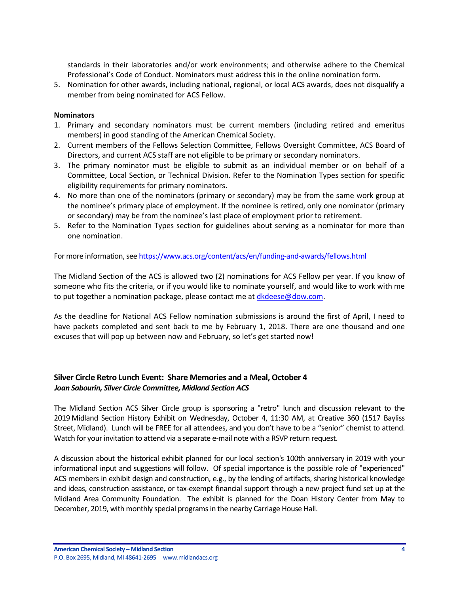standards in their laboratories and/or work environments; and otherwise adhere to the Chemical Professional's Code of Conduct. Nominators must address this in the online nomination form.

5. Nomination for other awards, including national, regional, or local ACS awards, does not disqualify a member from being nominated for ACS Fellow.

### **Nominators**

- 1. Primary and secondary nominators must be current members (including retired and emeritus members) in good standing of the American Chemical Society.
- 2. Current members of the Fellows Selection Committee, Fellows Oversight Committee, ACS Board of Directors, and current ACS staff are not eligible to be primary or secondary nominators.
- 3. The primary nominator must be eligible to submit as an individual member or on behalf of a Committee, Local Section, or Technical Division. Refer to the Nomination Types section for specific eligibility requirements for primary nominators.
- 4. No more than one of the nominators (primary or secondary) may be from the same work group at the nominee's primary place of employment. If the nominee is retired, only one nominator (primary or secondary) may be from the nominee's last place of employment prior to retirement.
- 5. Refer to the Nomination Types section for guidelines about serving as a nominator for more than one nomination.

For more information, see <https://www.acs.org/content/acs/en/funding-and-awards/fellows.html>

The Midland Section of the ACS is allowed two (2) nominations for ACS Fellow per year. If you know of someone who fits the criteria, or if you would like to nominate yourself, and would like to work with me to put together a nomination package, please contact me at *dkdeese@dow.com*.

As the deadline for National ACS Fellow nomination submissions is around the first of April, I need to have packets completed and sent back to me by February 1, 2018. There are one thousand and one excuses that will pop up between now and February, so let's get started now!

# <span id="page-3-0"></span>**Silver Circle Retro Lunch Event: Share Memories and a Meal, October 4** *Joan Sabourin, Silver Circle Committee, Midland Section ACS*

The Midland Section ACS Silver Circle group is sponsoring a "retro" lunch and discussion relevant to the 2019 Midland Section History Exhibit on Wednesday, October 4, 11:30 AM, at Creative 360 (1517 Bayliss Street, Midland). Lunch will be FREE for all attendees, and you don't have to be a "senior" chemist to attend. Watch for your invitation to attend via a separate e-mail note with a RSVP return request.

A discussion about the historical exhibit planned for our local section's 100th anniversary in 2019 with your informational input and suggestions will follow. Of special importance is the possible role of "experienced" ACS members in exhibit design and construction, e.g., by the lending of artifacts, sharing historical knowledge and ideas, construction assistance, or tax-exempt financial support through a new project fund set up at the Midland Area Community Foundation. The exhibit is planned for the Doan History Center from May to December, 2019, with monthly special programs in the nearby Carriage House Hall.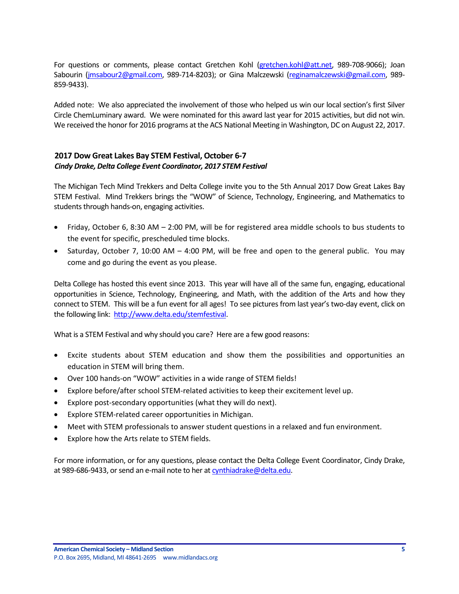For questions or comments, please contact Gretchen Kohl [\(gretchen.kohl@att.net,](mailto:gretchen.kohl@att.net) 989-708-9066); Joan Sabourin [\(jmsabour2@gmail.com,](mailto:jmsabour2@gmail.com) 989-714-8203); or Gina Malczewski [\(reginamalczewski@gmail.com,](mailto:reginamalczewski@gmail.com) 989- 859-9433).

Added note: We also appreciated the involvement of those who helped us win our local section's first Silver Circle ChemLuminary award. We were nominated for this award last year for 2015 activities, but did not win. We received the honor for 2016 programs at the ACS National Meeting in Washington, DC on August 22, 2017.

# <span id="page-4-0"></span>**2017 Dow Great Lakes Bay STEM Festival, October 6-7** *Cindy Drake, Delta College Event Coordinator, 2017 STEM Festival*

The Michigan Tech Mind Trekkers and Delta College invite you to the 5th Annual 2017 Dow Great Lakes Bay STEM Festival. Mind Trekkers brings the "WOW" of Science, Technology, Engineering, and Mathematics to students through hands-on, engaging activities.

- Friday, October 6, 8:30 AM 2:00 PM, will be for registered area middle schools to bus students to the event for specific, prescheduled time blocks.
- Saturday, October 7, 10:00 AM 4:00 PM, will be free and open to the general public. You may come and go during the event as you please.

Delta College has hosted this event since 2013. This year will have all of the same fun, engaging, educational opportunities in Science, Technology, Engineering, and Math, with the addition of the Arts and how they connect to STEM. This will be a fun event for all ages! To see pictures from last year's two-day event, click on the following link: [http://www.delta.edu/stemfestival.](http://www.delta.edu/stemfestival)

What is a STEM Festival and why should you care? Here are a few good reasons:

- Excite students about STEM education and show them the possibilities and opportunities an education in STEM will bring them.
- Over 100 hands-on "WOW" activities in a wide range of STEM fields!
- Explore before/after school STEM-related activities to keep their excitement level up.
- Explore post-secondary opportunities (what they will do next).
- Explore STEM-related career opportunities in Michigan.
- Meet with STEM professionals to answer student questions in a relaxed and fun environment.
- Explore how the Arts relate to STEM fields.

For more information, or for any questions, please contact the Delta College Event Coordinator, Cindy Drake, at 989-686-9433, or send an e-mail note to her at [cynthiadrake@delta.edu.](mailto:cynthiadrake@delta.edu)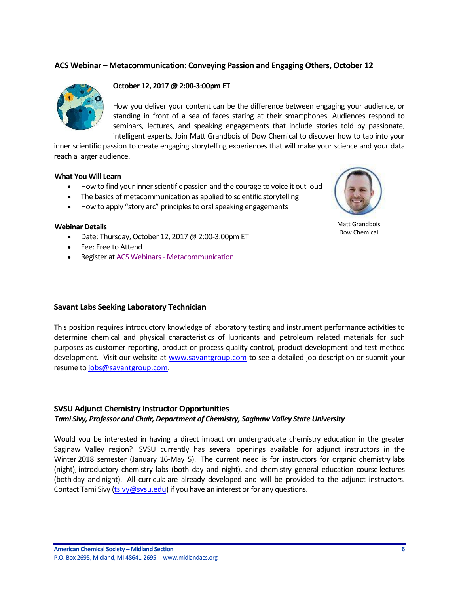# <span id="page-5-0"></span>**ACS Webinar – Metacommunication: Conveying Passion and Engaging Others, October 12**



### **October 12, 2017 @ 2:00-3:00pm ET**

How you deliver your content can be the difference between engaging your audience, or standing in front of a sea of faces staring at their smartphones. Audiences respond to seminars, lectures, and speaking engagements that include stories told by passionate, intelligent experts. Join Matt Grandbois of Dow Chemical to discover how to tap into your

inner scientific passion to create engaging storytelling experiences that will make your science and your data reach a larger audience.

#### **What You Will Learn**

- How to find your inner scientific passion and the courage to voice it out loud
- The basics of metacommunication as applied to scientific storytelling
- How to apply "story arc" principles to oral speaking engagements

#### **Webinar Details**

- Date: Thursday, October 12, 2017 @ 2:00-3:00pm ET
- Fee: Free to Attend
- Register at ACS Webinars [Metacommunication](https://na01.safelinks.protection.outlook.com/?url=https%3A%2F%2Fwww.acs.org%2Fcontent%2Facs%2Fen%2Facs-webinars%2Fprofessional-development%2Fmetacomm.html&data=02%7C01%7Cmmt_u249822185022160332011%40mgd.bsnconnect.com%7Ca18eb4f324e14691af9908d4f95ce05c%7Cc3e32f53cb7f4809968d1cc4ccc785fe%7C0%7C0%7C636407624697585169&sdata=V%2Bsf7IuxTXlauAF6iuiKIlrFJdddIBc9V9L5mW2tfY0%3D&reserved=0)



Matt Grandbois Dow Chemical

#### <span id="page-5-1"></span>**Savant Labs Seeking Laboratory Technician**

This position requires introductory knowledge of laboratory testing and instrument performance activities to determine chemical and physical characteristics of lubricants and petroleum related materials for such purposes as customer reporting, product or process quality control, product development and test method development. Visit our website at [www.savantgroup.com](https://na01.safelinks.protection.outlook.com/?url=http%3A%2F%2Fwww.savantgroup.com&data=02%7C01%7Cmmt_u249822185022160332011%40mgd.bsnconnect.com%7Cb5fde9de8d8b497729e008d501ea3f9a%7Cc3e32f53cb7f4809968d1cc4ccc785fe%7C0%7C0%7C636417027977082651&sdata=e1f5AJZkFJcpohwjOvq1RKI8ylq8ZHMB102GPbYr3sI%3D&reserved=0) to see a detailed job description or submit your resume t[o jobs@savantgroup.com.](mailto:jobs@savantgroup.com)

#### <span id="page-5-2"></span>**SVSU Adjunct Chemistry Instructor Opportunities**

#### *Tami Sivy, Professor and Chair, Department of Chemistry, Saginaw Valley State University*

Would you be interested in having a direct impact on undergraduate chemistry education in the greater Saginaw Valley region? SVSU currently has several openings available for adjunct instructors in the Winter 2018 semester (January 16-May 5). The current need is for instructors for organic chemistry labs (night), introductory chemistry labs (both day and night), and chemistry general education course lectures (both day and night). All curricula are already developed and will be provided to the adjunct instructors. Contact Tami Sivy [\(tsivy@svsu.edu\)](mailto:tsivy@svsu.edu) if you have an interest or for any questions.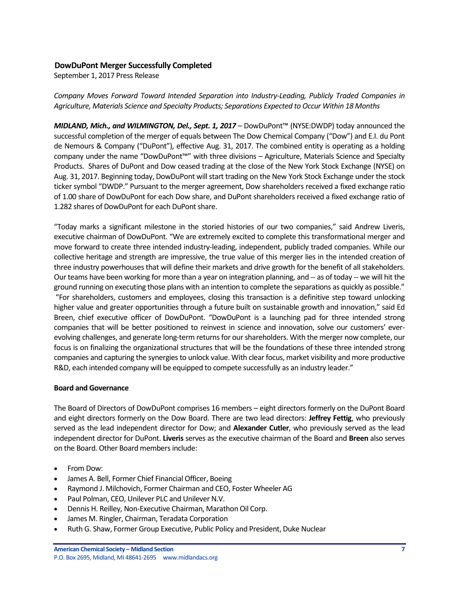## <span id="page-6-0"></span>**DowDuPont Merger Successfully Completed**

September 1, 2017 Press Release

*Company Moves Forward Toward Intended Separation into Industry-Leading, Publicly Traded Companies in*  Agriculture, Materials Science and Specialty Products; Separations Expected to Occur Within 18 Months

*MIDLAND, Mich., and WILMINGTON, Del., Sept. 1, 2017* – DowDuPont™ (NYSE:DWDP) today announced the successful completion of the merger of equals between The Dow Chemical Company ("Dow") and E.I. du Pont de Nemours & Company ("DuPont"), effective Aug. 31, 2017. The combined entity is operating as a holding company under the name "DowDuPont™" with three divisions – Agriculture, Materials Science and Specialty Products. Shares of DuPont and Dow ceased trading at the close of the New York Stock Exchange (NYSE) on Aug. 31, 2017. Beginning today, DowDuPont will start trading on the New York Stock Exchange under the stock ticker symbol "DWDP." Pursuant to the merger agreement, Dow shareholders received a fixed exchange ratio of 1.00 share of DowDuPont for each Dow share, and DuPont shareholders received a fixed exchange ratio of 1.282 shares of DowDuPont for each DuPont share.

"Today marks a significant milestone in the storied histories of our two companies," said Andrew Liveris, executive chairman of DowDuPont. "We are extremely excited to complete this transformational merger and move forward to create three intended industry-leading, independent, publicly traded companies. While our collective heritage and strength are impressive, the true value of this merger lies in the intended creation of three industry powerhouses that will define their markets and drive growth for the benefit of all stakeholders. Our teams have been working for more than a year on integration planning, and -- as of today -- we will hit the ground running on executing those plans with an intention to complete the separations as quickly as possible." "For shareholders, customers and employees, closing this transaction is a definitive step toward unlocking higher value and greater opportunities through a future built on sustainable growth and innovation," said Ed Breen, chief executive officer of DowDuPont. "DowDuPont is a launching pad for three intended strong companies that will be better positioned to reinvest in science and innovation, solve our customers' everevolving challenges, and generate long-term returns for our shareholders. With the merger now complete, our focus is on finalizing the organizational structures that will be the foundations of these three intended strong companies and capturing the synergies to unlock value. With clear focus, market visibility and more productive R&D, each intended company will be equipped to compete successfully as an industry leader."

#### **Board and Governance**

The Board of Directors of DowDuPont comprises 16 members – eight directors formerly on the DuPont Board and eight directors formerly on the Dow Board. There are two lead directors: **Jeffrey Fettig**, who previously served as the lead independent director for Dow; and **Alexander Cutler**, who previously served as the lead independent director for DuPont. **Liveris** serves as the executive chairman of the Board and **Breen** also serves on the Board. Other Board members include:

- From Dow:
- James A. Bell, Former Chief Financial Officer, Boeing
- Raymond J. Milchovich, Former Chairman and CEO, Foster Wheeler AG
- Paul Polman, CEO, Unilever PLC and Unilever N.V.
- Dennis H. Reilley, Non-Executive Chairman, Marathon Oil Corp.
- James M. Ringler, Chairman, Teradata Corporation
- Ruth G. Shaw, Former Group Executive, Public Policy and President, Duke Nuclear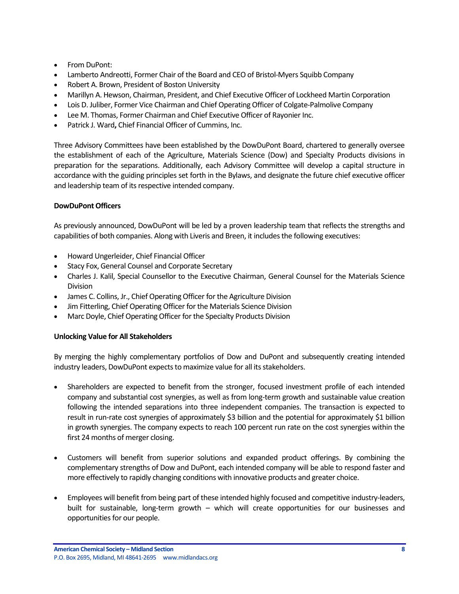- From DuPont:
- Lamberto Andreotti, Former Chair of the Board and CEO of Bristol-Myers Squibb Company
- Robert A. Brown, President of Boston University
- Marillyn A. Hewson, Chairman, President, and Chief Executive Officer of Lockheed Martin Corporation
- Lois D. Juliber, Former Vice Chairman and Chief Operating Officer of Colgate-Palmolive Company
- Lee M. Thomas, Former Chairman and Chief Executive Officer of Rayonier Inc.
- Patrick J. Ward**,** Chief Financial Officer of Cummins, Inc.

Three Advisory Committees have been established by the DowDuPont Board, chartered to generally oversee the establishment of each of the Agriculture, Materials Science (Dow) and Specialty Products divisions in preparation for the separations. Additionally, each Advisory Committee will develop a capital structure in accordance with the guiding principles set forth in the Bylaws, and designate the future chief executive officer and leadership team of its respective intended company.

### **DowDuPont Officers**

As previously announced, DowDuPont will be led by a proven leadership team that reflects the strengths and capabilities of both companies. Along with Liveris and Breen, it includes the following executives:

- Howard Ungerleider, Chief Financial Officer
- Stacy Fox, General Counsel and Corporate Secretary
- Charles J. Kalil, Special Counsellor to the Executive Chairman, General Counsel for the Materials Science Division
- James C. Collins, Jr., Chief Operating Officer for the Agriculture Division
- Jim Fitterling, Chief Operating Officer for the Materials Science Division
- Marc Doyle, Chief Operating Officer for the Specialty Products Division

### **Unlocking Value for All Stakeholders**

By merging the highly complementary portfolios of Dow and DuPont and subsequently creating intended industry leaders, DowDuPont expects to maximize value for all its stakeholders.

- Shareholders are expected to benefit from the stronger, focused investment profile of each intended company and substantial cost synergies, as well as from long-term growth and sustainable value creation following the intended separations into three independent companies. The transaction is expected to result in run-rate cost synergies of approximately \$3 billion and the potential for approximately \$1 billion in growth synergies. The company expects to reach 100 percent run rate on the cost synergies within the first 24 months of merger closing.
- Customers will benefit from superior solutions and expanded product offerings. By combining the complementary strengths of Dow and DuPont, each intended company will be able to respond faster and more effectively to rapidly changing conditions with innovative products and greater choice.
- Employees will benefit from being part of these intended highly focused and competitive industry-leaders, built for sustainable, long-term growth – which will create opportunities for our businesses and opportunities for our people.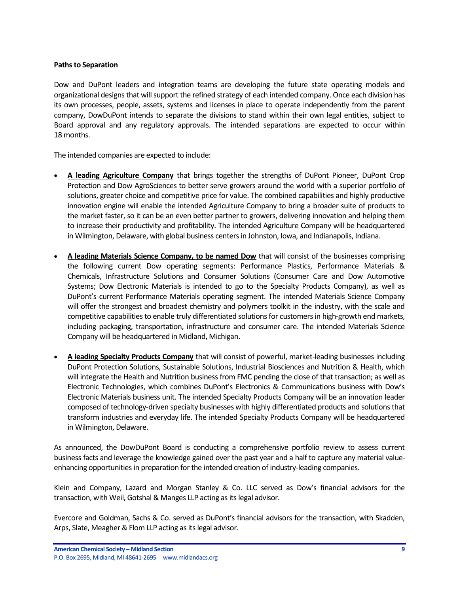#### **Paths to Separation**

Dow and DuPont leaders and integration teams are developing the future state operating models and organizational designs that will support the refined strategy of each intended company. Once each division has its own processes, people, assets, systems and licenses in place to operate independently from the parent company, DowDuPont intends to separate the divisions to stand within their own legal entities, subject to Board approval and any regulatory approvals. The intended separations are expected to occur within 18 months.

The intended companies are expected to include:

- **A leading Agriculture Company** that brings together the strengths of DuPont Pioneer, DuPont Crop Protection and Dow AgroSciences to better serve growers around the world with a superior portfolio of solutions, greater choice and competitive price for value. The combined capabilities and highly productive innovation engine will enable the intended Agriculture Company to bring a broader suite of products to the market faster, so it can be an even better partner to growers, delivering innovation and helping them to increase their productivity and profitability. The intended Agriculture Company will be headquartered in Wilmington, Delaware, with global business centers in Johnston, Iowa, and Indianapolis, Indiana.
- **A leading Materials Science Company, to be named Dow** that will consist of the businesses comprising the following current Dow operating segments: Performance Plastics, Performance Materials & Chemicals, Infrastructure Solutions and Consumer Solutions (Consumer Care and Dow Automotive Systems; Dow Electronic Materials is intended to go to the Specialty Products Company), as well as DuPont's current Performance Materials operating segment. The intended Materials Science Company will offer the strongest and broadest chemistry and polymers toolkit in the industry, with the scale and competitive capabilities to enable truly differentiated solutions for customers in high-growth end markets, including packaging, transportation, infrastructure and consumer care. The intended Materials Science Company will be headquartered in Midland, Michigan.
- **A leading Specialty Products Company** that will consist of powerful, market-leading businesses including DuPont Protection Solutions, Sustainable Solutions, Industrial Biosciences and Nutrition & Health, which will integrate the Health and Nutrition business from FMC pending the close of that transaction; as well as Electronic Technologies, which combines DuPont's Electronics & Communications business with Dow's Electronic Materials business unit. The intended Specialty Products Company will be an innovation leader composed of technology-driven specialty businesses with highly differentiated products and solutions that transform industries and everyday life. The intended Specialty Products Company will be headquartered in Wilmington, Delaware.

As announced, the DowDuPont Board is conducting a comprehensive portfolio review to assess current business facts and leverage the knowledge gained over the past year and a half to capture any material valueenhancing opportunities in preparation for the intended creation of industry-leading companies.

Klein and Company, Lazard and Morgan Stanley & Co. LLC served as Dow's financial advisors for the transaction, with Weil, Gotshal & Manges LLP acting as its legal advisor.

Evercore and Goldman, Sachs & Co. served as DuPont's financial advisors for the transaction, with Skadden, Arps, Slate, Meagher & Flom LLP acting as its legal advisor.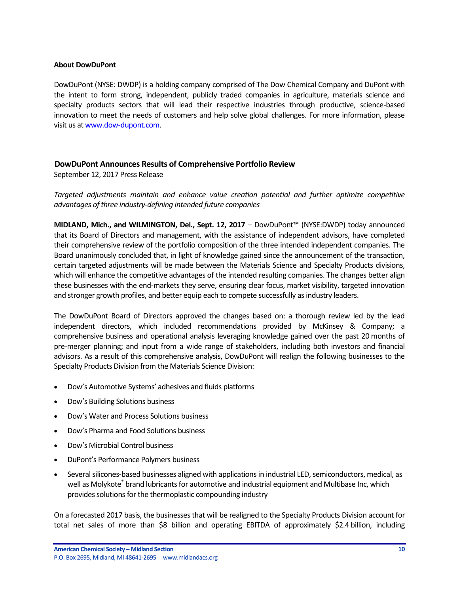#### **About DowDuPont**

DowDuPont (NYSE: DWDP) is a holding company comprised of The Dow Chemical Company and DuPont with the intent to form strong, independent, publicly traded companies in agriculture, materials science and specialty products sectors that will lead their respective industries through productive, science-based innovation to meet the needs of customers and help solve global challenges. For more information, please visit us a[t www.dow-dupont.com.](http://www.dow-dupont.com/)

#### <span id="page-9-0"></span>**DowDuPont Announces Results of Comprehensive Portfolio Review**

September 12, 2017 Press Release

*Targeted adjustments maintain and enhance value creation potential and further optimize competitive advantages of three industry-defining intended future companies* 

**MIDLAND, Mich., and WILMINGTON, Del., Sept. 12, 2017** – DowDuPont™ (NYSE:DWDP) today announced that its Board of Directors and management, with the assistance of independent advisors, have completed their comprehensive review of the portfolio composition of the three intended independent companies. The Board unanimously concluded that, in light of knowledge gained since the announcement of the transaction, certain targeted adjustments will be made between the Materials Science and Specialty Products divisions, which will enhance the competitive advantages of the intended resulting companies. The changes better align these businesses with the end-markets they serve, ensuring clear focus, market visibility, targeted innovation and stronger growth profiles, and better equip each to compete successfully as industry leaders.

The DowDuPont Board of Directors approved the changes based on: a thorough review led by the lead independent directors, which included recommendations provided by McKinsey & Company; a comprehensive business and operational analysis leveraging knowledge gained over the past 20 months of pre-merger planning; and input from a wide range of stakeholders, including both investors and financial advisors. As a result of this comprehensive analysis, DowDuPont will realign the following businesses to the Specialty Products Division from the Materials Science Division:

- Dow's Automotive Systems' adhesives and fluids platforms
- Dow's Building Solutions business
- Dow's Water and Process Solutions business
- Dow's Pharma and Food Solutions business
- Dow's Microbial Control business
- DuPont's Performance Polymers business
- Several silicones-based businesses aligned with applications in industrial LED, semiconductors, medical, as well as Molykote<sup>®</sup> brand lubricants for automotive and industrial equipment and Multibase Inc, which provides solutions for the thermoplastic compounding industry

On a forecasted 2017 basis, the businesses that will be realigned to the Specialty Products Division account for total net sales of more than \$8 billion and operating EBITDA of approximately \$2.4 billion, including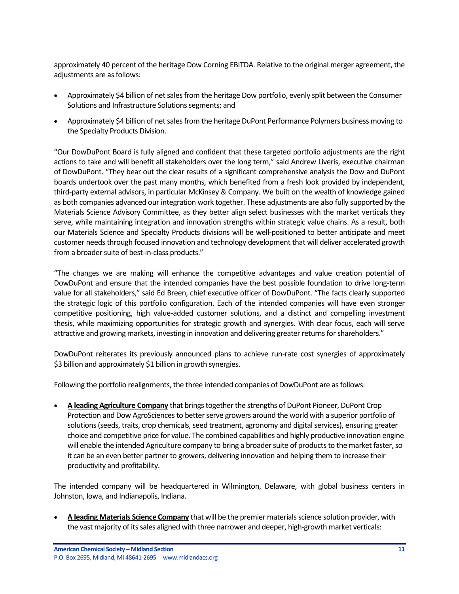approximately 40 percent of the heritage Dow Corning EBITDA. Relative to the original merger agreement, the adjustments are as follows:

- Approximately \$4 billion of net sales from the heritage Dow portfolio, evenly split between the Consumer Solutions and Infrastructure Solutions segments; and
- Approximately \$4 billion of net sales from the heritage DuPont Performance Polymers business moving to the Specialty Products Division.

"Our DowDuPont Board is fully aligned and confident that these targeted portfolio adjustments are the right actions to take and will benefit all stakeholders over the long term," said Andrew Liveris, executive chairman of DowDuPont. "They bear out the clear results of a significant comprehensive analysis the Dow and DuPont boards undertook over the past many months, which benefited from a fresh look provided by independent, third-party external advisors, in particular McKinsey & Company. We built on the wealth of knowledge gained as both companies advanced our integration work together. These adjustments are also fully supported by the Materials Science Advisory Committee, as they better align select businesses with the market verticals they serve, while maintaining integration and innovation strengths within strategic value chains. As a result, both our Materials Science and Specialty Products divisions will be well-positioned to better anticipate and meet customer needs through focused innovation and technology development that will deliver accelerated growth from a broader suite of best-in-class products."

"The changes we are making will enhance the competitive advantages and value creation potential of DowDuPont and ensure that the intended companies have the best possible foundation to drive long-term value for all stakeholders," said Ed Breen, chief executive officer of DowDuPont. "The facts clearly supported the strategic logic of this portfolio configuration. Each of the intended companies will have even stronger competitive positioning, high value-added customer solutions, and a distinct and compelling investment thesis, while maximizing opportunities for strategic growth and synergies. With clear focus, each will serve attractive and growing markets, investing in innovation and delivering greater returns for shareholders."

DowDuPont reiterates its previously announced plans to achieve run-rate cost synergies of approximately \$3 billion and approximately \$1 billion in growth synergies.

Following the portfolio realignments, the three intended companies of DowDuPont are as follows:

 **A leading Agriculture Company** that brings together the strengths of DuPont Pioneer, DuPont Crop Protection and Dow AgroSciences to better serve growers around the world with a superior portfolio of solutions (seeds, traits, crop chemicals, seed treatment, agronomy and digital services), ensuring greater choice and competitive price for value. The combined capabilities and highly productive innovation engine will enable the intended Agriculture company to bring a broader suite of products to the market faster, so it can be an even better partner to growers, delivering innovation and helping them to increase their productivity and profitability.

The intended company will be headquartered in Wilmington, Delaware, with global business centers in Johnston, Iowa, and Indianapolis, Indiana.

 **A leading Materials Science Company** that will be the premier materials science solution provider, with the vast majority of its sales aligned with three narrower and deeper, high-growth market verticals: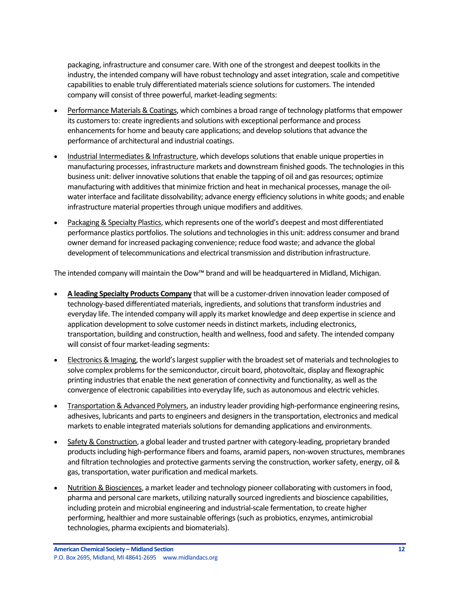packaging, infrastructure and consumer care. With one of the strongest and deepest toolkits in the industry, the intended company will have robust technology and asset integration, scale and competitive capabilities to enable truly differentiated materials science solutions for customers. The intended company will consist of three powerful, market-leading segments:

- Performance Materials & Coatings, which combines a broad range of technology platforms that empower its customers to: create ingredients and solutions with exceptional performance and process enhancements for home and beauty care applications; and develop solutions that advance the performance of architectural and industrial coatings.
- Industrial Intermediates & Infrastructure, which develops solutions that enable unique properties in manufacturing processes, infrastructure markets and downstream finished goods. The technologies in this business unit: deliver innovative solutions that enable the tapping of oil and gas resources; optimize manufacturing with additives that minimize friction and heat in mechanical processes, manage the oilwater interface and facilitate dissolvability; advance energy efficiency solutions in white goods; and enable infrastructure material properties through unique modifiers and additives.
- Packaging & Specialty Plastics, which represents one of the world's deepest and most differentiated performance plastics portfolios. The solutions and technologies in this unit: address consumer and brand owner demand for increased packaging convenience; reduce food waste; and advance the global development of telecommunications and electrical transmission and distribution infrastructure.

The intended company will maintain the Dow™ brand and will be headquartered in Midland, Michigan.

- **A leading Specialty Products Company** that will be a customer-driven innovation leader composed of technology-based differentiated materials, ingredients, and solutions that transform industries and everyday life. The intended company will apply its market knowledge and deep expertise in science and application development to solve customer needs in distinct markets, including electronics, transportation, building and construction, health and wellness, food and safety. The intended company will consist of four market-leading segments:
- Electronics & Imaging, the world's largest supplier with the broadest set of materials and technologies to solve complex problems for the semiconductor, circuit board, photovoltaic, display and flexographic printing industries that enable the next generation of connectivity and functionality, as well as the convergence of electronic capabilities into everyday life, such as autonomous and electric vehicles.
- Transportation & Advanced Polymers, an industry leader providing high-performance engineering resins, adhesives, lubricants and parts to engineers and designers in the transportation, electronics and medical markets to enable integrated materials solutions for demanding applications and environments.
- Safety & Construction, a global leader and trusted partner with category-leading, proprietary branded products including high-performance fibers and foams, aramid papers, non-woven structures, membranes and filtration technologies and protective garments serving the construction, worker safety, energy, oil & gas, transportation, water purification and medical markets.
- Nutrition & Biosciences, a market leader and technology pioneer collaborating with customers in food, pharma and personal care markets, utilizing naturally sourced ingredients and bioscience capabilities, including protein and microbial engineering and industrial-scale fermentation, to create higher performing, healthier and more sustainable offerings (such as probiotics, enzymes, antimicrobial technologies, pharma excipients and biomaterials).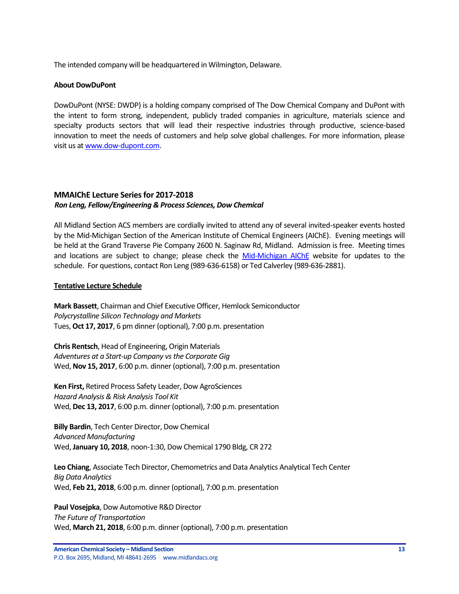The intended company will be headquartered in Wilmington, Delaware.

#### **About DowDuPont**

DowDuPont (NYSE: DWDP) is a holding company comprised of The Dow Chemical Company and DuPont with the intent to form strong, independent, publicly traded companies in agriculture, materials science and specialty products sectors that will lead their respective industries through productive, science-based innovation to meet the needs of customers and help solve global challenges. For more information, please visit us a[t www.dow-dupont.com.](http://www.dow-dupont.com/)

# <span id="page-12-0"></span>**MMAIChE Lecture Series for 2017-2018** *Ron Leng, Fellow/Engineering & Process Sciences, Dow Chemical*

All Midland Section ACS members are cordially invited to attend any of several invited-speaker events hosted by the Mid-Michigan Section of the American Institute of Chemical Engineers (AIChE). Evening meetings will be held at the Grand Traverse Pie Company 2600 N. Saginaw Rd, Midland. Admission is free. Meeting times and locations are subject to change; please check the [Mid-Michigan AIChE](http://www.aiche.org/community/sites/local-sections/mid-michigan) website for updates to the schedule. For questions, contact Ron Leng (989-636-6158) or Ted Calverley (989-636-2881).

#### **Tentative Lecture Schedule**

**Mark Bassett**, Chairman and Chief Executive Officer, Hemlock Semiconductor *Polycrystalline Silicon Technology and Markets*  Tues, **Oct 17, 2017**, 6 pm dinner (optional), 7:00 p.m. presentation

**Chris Rentsch**, Head of Engineering, Origin Materials *Adventures at a Start-up Company vs the Corporate Gig* Wed, **Nov 15, 2017**, 6:00 p.m. dinner (optional), 7:00 p.m. presentation

**Ken First,** Retired Process Safety Leader, Dow AgroSciences *Hazard Analysis & Risk Analysis Tool Kit* Wed, **Dec 13, 2017**, 6:00 p.m. dinner (optional), 7:00 p.m. presentation

**Billy Bardin**, Tech Center Director, Dow Chemical *Advanced Manufacturing* Wed, **January 10, 2018**, noon-1:30, Dow Chemical 1790 Bldg, CR 272

**Leo Chiang**, Associate Tech Director, Chemometrics and Data Analytics Analytical Tech Center *Big Data Analytics* Wed, **Feb 21, 2018**, 6:00 p.m. dinner (optional), 7:00 p.m. presentation

**Paul Vosejpka**, Dow Automotive R&D Director *The Future of Transportation* Wed, **March 21, 2018**, 6:00 p.m. dinner (optional), 7:00 p.m. presentation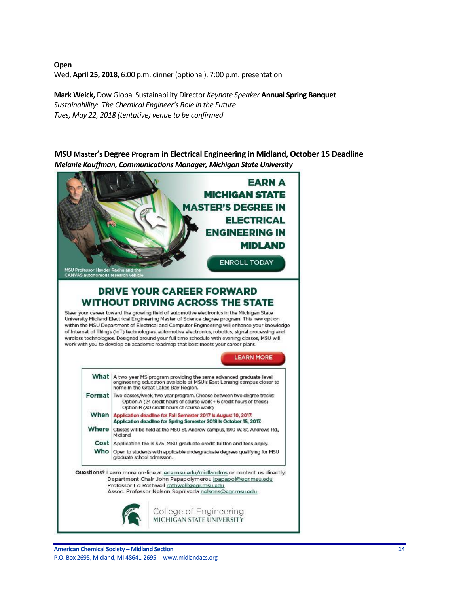**Open** Wed, **April 25, 2018**, 6:00 p.m. dinner (optional), 7:00 p.m. presentation

**Mark Weick,** Dow Global Sustainability Director *Keynote Speaker* **Annual Spring Banquet**  *Sustainability: The Chemical Engineer's Role in the Future Tues, May 22, 2018 (tentative) venue to be confirmed*

<span id="page-13-0"></span>**MSU Master's Degree Program in Electrical Engineering in Midland, October 15 Deadline** *Melanie Kauffman, Communications Manager, Michigan State University*

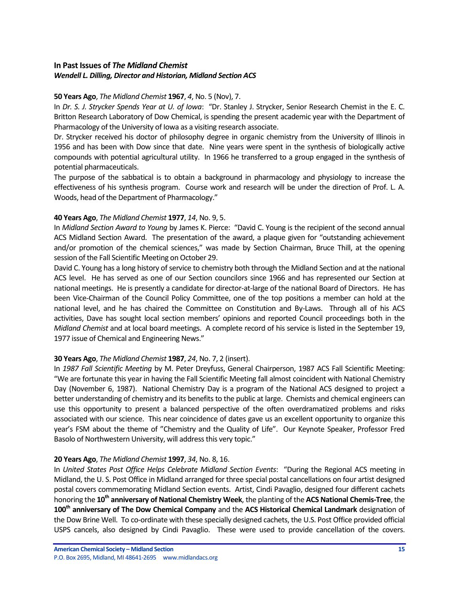# <span id="page-14-0"></span>**In Past Issues of** *The Midland Chemist Wendell L. Dilling, Director and Historian, Midland Section ACS*

# **50 Years Ago**, *The Midland Chemist* **1967**, *4*, No. 5 (Nov), 7.

In *Dr. S. J. Strycker Spends Year at U. of Iowa*: "Dr. Stanley J. Strycker, Senior Research Chemist in the E. C. Britton Research Laboratory of Dow Chemical, is spending the present academic year with the Department of Pharmacology of the University of Iowa as a visiting research associate.

Dr. Strycker received his doctor of philosophy degree in organic chemistry from the University of Illinois in 1956 and has been with Dow since that date. Nine years were spent in the synthesis of biologically active compounds with potential agricultural utility. In 1966 he transferred to a group engaged in the synthesis of potential pharmaceuticals.

The purpose of the sabbatical is to obtain a background in pharmacology and physiology to increase the effectiveness of his synthesis program. Course work and research will be under the direction of Prof. L. A. Woods, head of the Department of Pharmacology."

# **40 Years Ago**, *The Midland Chemist* **1977**, *14*, No. 9, 5.

In *Midland Section Award to Young* by James K. Pierce: "David C. Young is the recipient of the second annual ACS Midland Section Award. The presentation of the award, a plaque given for "outstanding achievement and/or promotion of the chemical sciences," was made by Section Chairman, Bruce Thill, at the opening session of the Fall Scientific Meeting on October 29.

David C. Young has a long history of service to chemistry both through the Midland Section and at the national ACS level. He has served as one of our Section councilors since 1966 and has represented our Section at national meetings. He is presently a candidate for director-at-large of the national Board of Directors. He has been Vice-Chairman of the Council Policy Committee, one of the top positions a member can hold at the national level, and he has chaired the Committee on Constitution and By-Laws. Through all of his ACS activities, Dave has sought local section members' opinions and reported Council proceedings both in the *Midland Chemist* and at local board meetings. A complete record of his service is listed in the September 19, 1977 issue of Chemical and Engineering News."

# **30 Years Ago**, *The Midland Chemist* **1987**, *24*, No. 7, 2 (insert).

In *1987 Fall Scientific Meeting* by M. Peter Dreyfuss, General Chairperson, 1987 ACS Fall Scientific Meeting: "We are fortunate this year in having the Fall Scientific Meeting fall almost coincident with National Chemistry Day (November 6, 1987). National Chemistry Day is a program of the National ACS designed to project a better understanding of chemistry and its benefits to the public at large. Chemists and chemical engineers can use this opportunity to present a balanced perspective of the often overdramatized problems and risks associated with our science. This near coincidence of dates gave us an excellent opportunity to organize this year's FSM about the theme of "Chemistry and the Quality of Life". Our Keynote Speaker, Professor Fred Basolo of Northwestern University, will address this very topic."

### **20 Years Ago**, *The Midland Chemist* **1997**, *34*, No. 8, 16.

In *United States Post Office Helps Celebrate Midland Section Events*: "During the Regional ACS meeting in Midland, the U. S. Post Office in Midland arranged for three special postal cancellations on four artist designed postal covers commemorating Midland Section events. Artist, Cindi Pavaglio, designed four different cachets honoring the **10th anniversary of National Chemistry Week**, the planting of the **ACS National Chemis-Tree**, the **100th anniversary of The Dow Chemical Company** and the **ACS Historical Chemical Landmark** designation of the Dow Brine Well. To co-ordinate with these specially designed cachets, the U.S. Post Office provided official USPS cancels, also designed by Cindi Pavaglio. These were used to provide cancellation of the covers.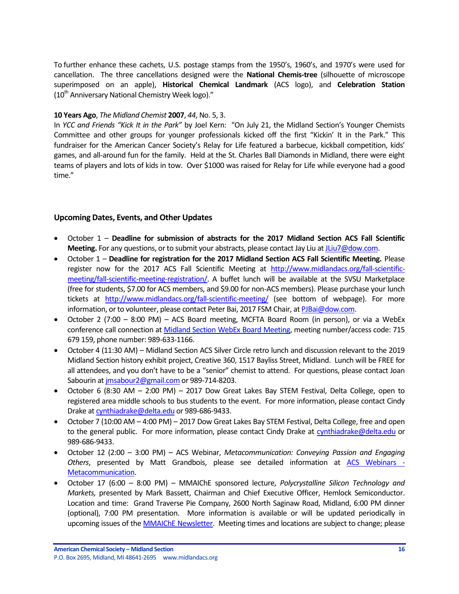To further enhance these cachets, U.S. postage stamps from the 1950's, 1960's, and 1970's were used for cancellation. The three cancellations designed were the **National Chemis-tree** (silhouette of microscope superimposed on an apple), **Historical Chemical Landmark** (ACS logo), and **Celebration Station**  $(10<sup>th</sup>$  Anniversary National Chemistry Week logo)."

## **10 Years Ago**, *The Midland Chemist* **2007**, *44*, No. 5, 3.

In *YCC and Friends "Kick It in the Park"* by Joel Kern: "On July 21, the Midland Section's Younger Chemists Committee and other groups for younger professionals kicked off the first "Kickin' It in the Park." This fundraiser for the American Cancer Society's Relay for Life featured a barbecue, kickball competition, kids' games, and all-around fun for the family. Held at the St. Charles Ball Diamonds in Midland, there were eight teams of players and lots of kids in tow. Over \$1000 was raised for Relay for Life while everyone had a good time."

# <span id="page-15-0"></span>**Upcoming Dates, Events, and Other Updates**

- October 1 **Deadline for submission of abstracts for the 2017 Midland Section ACS Fall Scientific Meeting.** For any questions, or to submit your abstracts, please contact Jay Liu a[t JLiu7@dow.com.](mailto:JLiu7@dow.com)
- October 1 **Deadline for registration for the 2017 Midland Section ACS Fall Scientific Meeting.** Please register now for the 2017 ACS Fall Scientific Meeting at [http://www.midlandacs.org/fall-scientific](http://www.midlandacs.org/fall-scientific-meeting/fall-scientific-meeting-registration/)[meeting/fall-scientific-meeting-registration/.](http://www.midlandacs.org/fall-scientific-meeting/fall-scientific-meeting-registration/) A buffet lunch will be available at the SVSU Marketplace (free for students, \$7.00 for ACS members, and \$9.00 for non-ACS members). Please purchase your lunch tickets at <http://www.midlandacs.org/fall-scientific-meeting/> (see bottom of webpage). For more information, or to volunteer, please contact Peter Bai, 2017 FSM Chair, a[t PJBai@dow.com.](mailto:PJBai@dow.com)
- October 2 (7:00 8:00 PM) ACS Board meeting, MCFTA Board Room (in person), or via a WebEx conference call connection a[t Midland Section WebEx Board Meeting,](https://dow.webex.com/mw3000/mywebex/default.do?service=1&main_url=%2Fmc3000%2Fe.do%3Fsiteurl%3Ddow%26AT%3DMI%26EventID%3D538213622%26MTID%3Dm6bd6812daaa9d053419d46f18be71c21%26Host%3DQUhTSwAAAAPRH17xdc850TNaqrXu82wV-x3jpjs_D1dcXCIzwwarRBsk7pqoTNERtE0mHQqtuB7HjPq8_OGpd7FHFnEY78fm0%26FrameSet%3D2&siteurl=dow&nomenu=true) meeting number/access code: 715 679 159, phone number: 989-633-1166.
- October 4 (11:30 AM) Midland Section ACS Silver Circle retro lunch and discussion relevant to the 2019 Midland Section history exhibit project, Creative 360, 1517 Bayliss Street, Midland. Lunch will be FREE for all attendees, and you don't have to be a "senior" chemist to attend. For questions, please contact Joan Sabourin a[t jmsabour2@gmail.com](mailto:jmsabour2@gmail.com) or 989-714-8203.
- October 6 (8:30 AM 2:00 PM) 2017 Dow Great Lakes Bay STEM Festival, Delta College, open to registered area middle schools to bus students to the event. For more information, please contact Cindy Drake a[t cynthiadrake@delta.edu](mailto:cynthiadrake@delta.edu) or 989‐686‐9433.
- October 7 (10:00 AM 4:00 PM) 2017 Dow Great Lakes Bay STEM Festival, Delta College, free and open to the general public. For more information, please contact Cindy Drake at [cynthiadrake@delta.edu](mailto:cynthiadrake@delta.edu) or 989‐686‐9433.
- October 12 (2:00 3:00 PM) ACS Webinar, *Metacommunication: Conveying Passion and Engaging Others*, presented by Matt Grandbois, please see detailed information at [ACS Webinars -](https://na01.safelinks.protection.outlook.com/?url=https%3A%2F%2Fwww.acs.org%2Fcontent%2Facs%2Fen%2Facs-webinars%2Fprofessional-development%2Fmetacomm.html&data=02%7C01%7Cmmt_u249822185022160332011%40mgd.bsnconnect.com%7Ca18eb4f324e14691af9908d4f95ce05c%7Cc3e32f53cb7f4809968d1cc4ccc785fe%7C0%7C0%7C636407624697585169&sdata=V%2Bsf7IuxTXlauAF6iuiKIlrFJdddIBc9V9L5mW2tfY0%3D&reserved=0) [Metacommunication.](https://na01.safelinks.protection.outlook.com/?url=https%3A%2F%2Fwww.acs.org%2Fcontent%2Facs%2Fen%2Facs-webinars%2Fprofessional-development%2Fmetacomm.html&data=02%7C01%7Cmmt_u249822185022160332011%40mgd.bsnconnect.com%7Ca18eb4f324e14691af9908d4f95ce05c%7Cc3e32f53cb7f4809968d1cc4ccc785fe%7C0%7C0%7C636407624697585169&sdata=V%2Bsf7IuxTXlauAF6iuiKIlrFJdddIBc9V9L5mW2tfY0%3D&reserved=0)
- October 17 (6:00 8:00 PM) MMAIChE sponsored lecture, *Polycrystalline Silicon Technology and Markets,* presented by Mark Bassett, Chairman and Chief Executive Officer, Hemlock Semiconductor. Location and time: Grand Traverse Pie Company, 2600 North Saginaw Road, Midland, 6:00 PM dinner (optional), 7:00 PM presentation. More information is available or will be updated periodically in upcoming issues of the **MMAIChE Newsletter**. Meeting times and locations are subject to change; please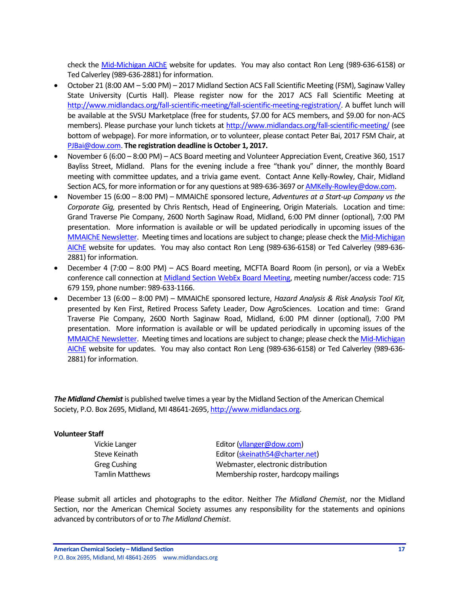check the [Mid-Michigan AIChE](http://www.aiche.org/community/sites/local-sections/mid-michigan) website for updates. You may also contact Ron Leng (989-636-6158) or Ted Calverley (989-636-2881) for information.

- October 21 (8:00 AM 5:00 PM) 2017 Midland Section ACS Fall Scientific Meeting (FSM), Saginaw Valley State University (Curtis Hall). Please register now for the 2017 ACS Fall Scientific Meeting at [http://www.midlandacs.org/fall-scientific-meeting/fall-scientific-meeting-registration/.](http://www.midlandacs.org/fall-scientific-meeting/fall-scientific-meeting-registration/) A buffet lunch will be available at the SVSU Marketplace (free for students, \$7.00 for ACS members, and \$9.00 for non-ACS members). Please purchase your lunch tickets a[t http://www.midlandacs.org/fall-scientific-meeting/](http://www.midlandacs.org/fall-scientific-meeting/) (see bottom of webpage). For more information, or to volunteer, please contact Peter Bai, 2017 FSM Chair, at [PJBai@dow.com.](mailto:PJBai@dow.com) **The registration deadline is October 1, 2017.**
- November 6 (6:00 8:00 PM) ACS Board meeting and Volunteer Appreciation Event, Creative 360, 1517 Bayliss Street, Midland. Plans for the evening include a free "thank you" dinner, the monthly Board meeting with committee updates, and a trivia game event. Contact Anne Kelly-Rowley, Chair, Midland Section ACS, for more information or for any questions at 989-636-3697 o[r AMKelly-Rowley@dow.com.](mailto:AMKelly-Rowley@dow.com)
- November 15 (6:00 8:00 PM) MMAIChE sponsored lecture, *Adventures at a Start-up Company vs the Corporate Gig,* presented by Chris Rentsch, Head of Engineering, Origin Materials. Location and time: Grand Traverse Pie Company, 2600 North Saginaw Road, Midland, 6:00 PM dinner (optional), 7:00 PM presentation. More information is available or will be updated periodically in upcoming issues of the [MMAIChE Newsletter.](http://www.aiche.org/community/sites/local-sections/mid-michigan/newsletters) Meeting times and locations are subject to change; please check th[e Mid-Michigan](http://www.aiche.org/community/sites/local-sections/mid-michigan)  [AIChE](http://www.aiche.org/community/sites/local-sections/mid-michigan) website for updates. You may also contact Ron Leng (989-636-6158) or Ted Calverley (989-636- 2881) for information.
- December 4 (7:00 8:00 PM) ACS Board meeting, MCFTA Board Room (in person), or via a WebEx conference call connection a[t Midland Section WebEx Board Meeting,](https://dow.webex.com/mw3000/mywebex/default.do?service=1&main_url=%2Fmc3000%2Fe.do%3Fsiteurl%3Ddow%26AT%3DMI%26EventID%3D538213622%26MTID%3Dm6bd6812daaa9d053419d46f18be71c21%26Host%3DQUhTSwAAAAPRH17xdc850TNaqrXu82wV-x3jpjs_D1dcXCIzwwarRBsk7pqoTNERtE0mHQqtuB7HjPq8_OGpd7FHFnEY78fm0%26FrameSet%3D2&siteurl=dow&nomenu=true) meeting number/access code: 715 679 159, phone number: 989-633-1166.
- December 13 (6:00 8:00 PM) MMAIChE sponsored lecture, *Hazard Analysis & Risk Analysis Tool Kit,* presented by Ken First, Retired Process Safety Leader, Dow AgroSciences. Location and time: Grand Traverse Pie Company, 2600 North Saginaw Road, Midland, 6:00 PM dinner (optional), 7:00 PM presentation. More information is available or will be updated periodically in upcoming issues of the [MMAIChE Newsletter.](http://www.aiche.org/community/sites/local-sections/mid-michigan/newsletters) Meeting times and locations are subject to change; please check th[e Mid-Michigan](http://www.aiche.org/community/sites/local-sections/mid-michigan)  [AIChE](http://www.aiche.org/community/sites/local-sections/mid-michigan) website for updates. You may also contact Ron Leng (989-636-6158) or Ted Calverley (989-636- 2881) for information.

*The Midland Chemist* is published twelve times a year by the Midland Section of the American Chemical Society, P.O. Box 2695, Midland, MI 48641-2695[, http://www.midlandacs.org.](http://www.midlandacs.org/)

#### **Volunteer Staff**

Vickie Langer **Editor** [\(vllanger@dow.com\)](mailto:vllanger@dow.com) Steve Keinath Editor [\(skeinath54@charter.net\)](mailto:skeinath54@charter.net) Greg Cushing Webmaster, electronic distribution Tamlin Matthews Membership roster, hardcopy mailings

Please submit all articles and photographs to the editor. Neither *The Midland Chemist*, nor the Midland Section, nor the American Chemical Society assumes any responsibility for the statements and opinions advanced by contributors of or to *The Midland Chemist*.